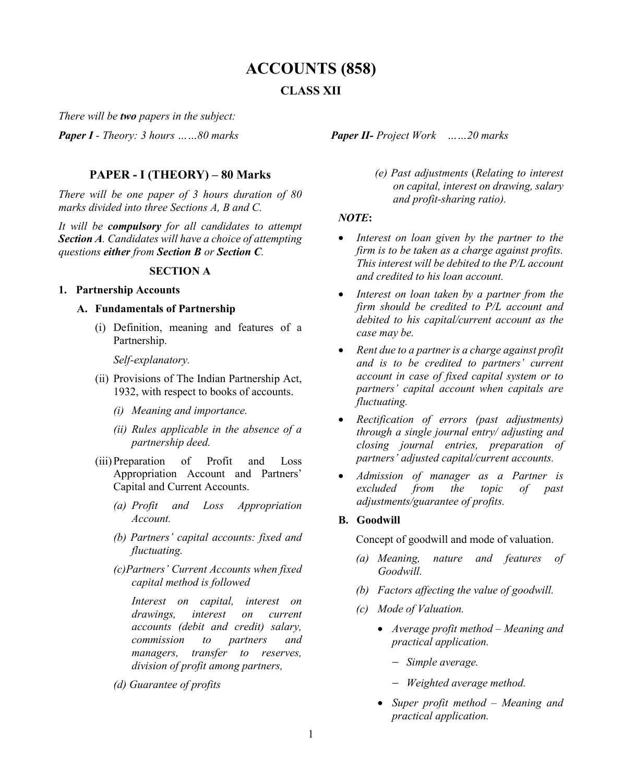# **ACCOUNTS (858) CLASS XII**

*There will be two papers in the subject:*

*Paper I - Theory: 3 hours ……80 marks Paper II- Project Work ……20 marks*

## **PAPER - I (THEORY) – 80 Marks**

*There will be one paper of 3 hours duration of 80 marks divided into three Sections A, B and C.*

*It will be compulsory for all candidates to attempt Section A. Candidates will have a choice of attempting questions either from Section B or Section C.* 

### **SECTION A**

### **1. Partnership Accounts**

### **A. Fundamentals of Partnership**

(i) Definition, meaning and features of a Partnership.

*Self-explanatory.* 

- (ii) Provisions of The Indian Partnership Act, 1932, with respect to books of accounts.
	- *(i) Meaning and importance.*
	- *(ii) Rules applicable in the absence of a partnership deed.*
- (iii)Preparation of Profit and Loss Appropriation Account and Partners' Capital and Current Accounts.
	- *(a) Profit and Loss Appropriation Account.*
	- *(b) Partners' capital accounts: fixed and fluctuating.*
	- *(c)Partners' Current Accounts when fixed capital method is followed*

*Interest on capital, interest on drawings, interest on current accounts (debit and credit) salary, commission to partners and managers, transfer to reserves, division of profit among partners,* 

*(d) Guarantee of profits* 

*(e) Past adjustments* (*Relating to interest on capital, interest on drawing, salary and profit-sharing ratio).*

### *NOTE***:**

- *Interest on loan given by the partner to the firm is to be taken as a charge against profits. This interest will be debited to the P/L account and credited to his loan account.*
- *Interest on loan taken by a partner from the firm should be credited to P/L account and debited to his capital/current account as the case may be.*
- *Rent due to a partner is a charge against profit and is to be credited to partners' current account in case of fixed capital system or to partners' capital account when capitals are fluctuating.*
- *Rectification of errors (past adjustments) through a single journal entry/ adjusting and closing journal entries, preparation of partners' adjusted capital/current accounts.*
- *Admission of manager as a Partner is excluded from the topic of past adjustments/guarantee of profits.*

### **B. Goodwill**

Concept of goodwill and mode of valuation.

- *(a) Meaning, nature and features of Goodwill.*
- *(b) Factors affecting the value of goodwill.*
- *(c) Mode of Valuation.*
	- *Average profit method – Meaning and practical application.*
		- − *Simple average.*
		- − *Weighted average method.*
	- *Super profit method – Meaning and practical application.*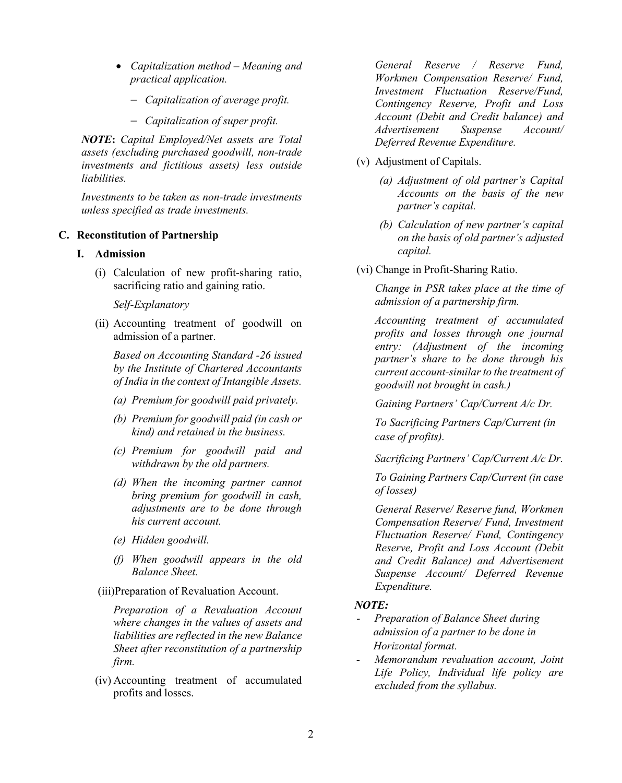- *Capitalization method – Meaning and practical application.*
	- − *Capitalization of average profit.*
	- − *Capitalization of super profit.*

*NOTE***:** *Capital Employed/Net assets are Total assets (excluding purchased goodwill, non-trade investments and fictitious assets) less outside liabilities.*

*Investments to be taken as non-trade investments unless specified as trade investments.* 

### **C. Reconstitution of Partnership**

### **I. Admission**

(i) Calculation of new profit-sharing ratio, sacrificing ratio and gaining ratio.

### *Self-Explanatory*

(ii) Accounting treatment of goodwill on admission of a partner.

*Based on Accounting Standard -26 issued by the Institute of Chartered Accountants of India in the context of Intangible Assets.*

- *(a) Premium for goodwill paid privately.*
- *(b) Premium for goodwill paid (in cash or kind) and retained in the business.*
- *(c) Premium for goodwill paid and withdrawn by the old partners.*
- *(d) When the incoming partner cannot bring premium for goodwill in cash, adjustments are to be done through his current account.*
- *(e) Hidden goodwill.*
- *(f) When goodwill appears in the old Balance Sheet.*
- (iii)Preparation of Revaluation Account.

*Preparation of a Revaluation Account where changes in the values of assets and liabilities are reflected in the new Balance Sheet after reconstitution of a partnership firm.*

(iv) Accounting treatment of accumulated profits and losses.

*General Reserve / Reserve Fund, Workmen Compensation Reserve/ Fund, Investment Fluctuation Reserve/Fund, Contingency Reserve, Profit and Loss Account (Debit and Credit balance) and Advertisement Suspense Account/ Deferred Revenue Expenditure.* 

- (v) Adjustment of Capitals.
	- *(a) Adjustment of old partner's Capital Accounts on the basis of the new partner's capital.*
	- *(b) Calculation of new partner's capital on the basis of old partner's adjusted capital.*
- (vi) Change in Profit-Sharing Ratio.

*Change in PSR takes place at the time of admission of a partnership firm.*

*Accounting treatment of accumulated profits and losses through one journal entry: (Adjustment of the incoming partner's share to be done through his current account-similar to the treatment of goodwill not brought in cash.)*

*Gaining Partners' Cap/Current A/c Dr.* 

*To Sacrificing Partners Cap/Current (in case of profits).*

*Sacrificing Partners' Cap/Current A/c Dr.* 

*To Gaining Partners Cap/Current (in case of losses)*

*General Reserve/ Reserve fund, Workmen Compensation Reserve/ Fund, Investment Fluctuation Reserve/ Fund, Contingency Reserve, Profit and Loss Account (Debit and Credit Balance) and Advertisement Suspense Account/ Deferred Revenue Expenditure.* 

### *NOTE:*

- *Preparation of Balance Sheet during admission of a partner to be done in Horizontal format.*
- *Memorandum revaluation account, Joint Life Policy, Individual life policy are excluded from the syllabus.*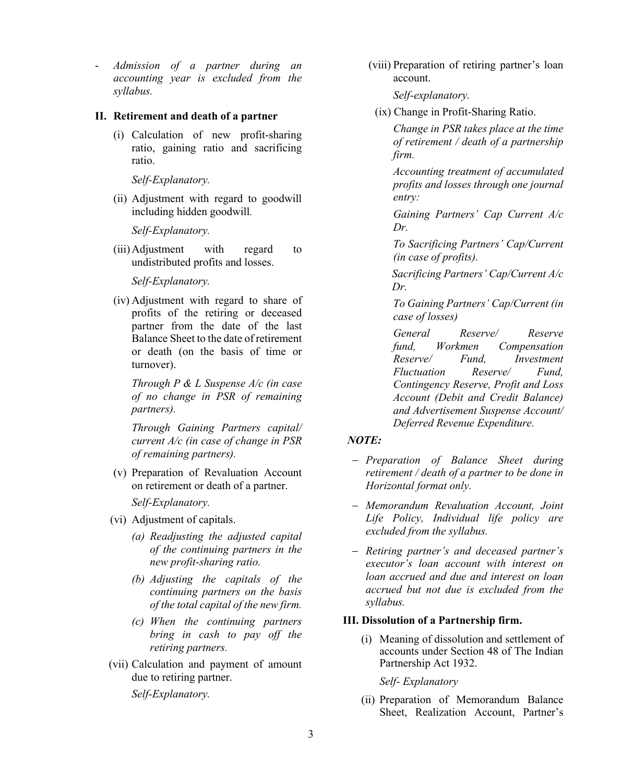- *Admission of a partner during an accounting year is excluded from the syllabus.*

#### **II. Retirement and death of a partner**

(i) Calculation of new profit-sharing ratio, gaining ratio and sacrificing ratio.

*Self-Explanatory.* 

(ii) Adjustment with regard to goodwill including hidden goodwill*.*

*Self-Explanatory.* 

(iii)Adjustment with regard to undistributed profits and losses.

*Self-Explanatory.*

(iv) Adjustment with regard to share of profits of the retiring or deceased partner from the date of the last Balance Sheet to the date of retirement or death (on the basis of time or turnover).

*Through P & L Suspense A/c (in case of no change in PSR of remaining partners).*

*Through Gaining Partners capital/ current A/c (in case of change in PSR of remaining partners).*

(v) Preparation of Revaluation Account on retirement or death of a partner.

*Self-Explanatory.*

- (vi) Adjustment of capitals.
	- *(a) Readjusting the adjusted capital of the continuing partners in the new profit-sharing ratio.*
	- *(b) Adjusting the capitals of the continuing partners on the basis of the total capital of the new firm.*
	- *(c) When the continuing partners bring in cash to pay off the retiring partners.*
- (vii) Calculation and payment of amount due to retiring partner.

*Self-Explanatory.*

(viii) Preparation of retiring partner's loan account.

*Self-explanatory.*

(ix) Change in Profit-Sharing Ratio.

*Change in PSR takes place at the time of retirement / death of a partnership firm.*

*Accounting treatment of accumulated profits and losses through one journal entry:* 

*Gaining Partners' Cap Current A/c Dr.* 

*To Sacrificing Partners' Cap/Current (in case of profits).*

*Sacrificing Partners' Cap/Current A/c Dr.* 

*To Gaining Partners' Cap/Current (in case of losses)*

*General Reserve/ Reserve fund, Workmen Compensation Reserve/ Fund, Investment Fluctuation Reserve/ Fund, Contingency Reserve, Profit and Loss Account (Debit and Credit Balance) and Advertisement Suspense Account/ Deferred Revenue Expenditure.* 

#### *NOTE:*

- − *Preparation of Balance Sheet during retirement / death of a partner to be done in Horizontal format only.*
- − *Memorandum Revaluation Account, Joint Life Policy, Individual life policy are excluded from the syllabus.*
- − *Retiring partner's and deceased partner's executor's loan account with interest on loan accrued and due and interest on loan accrued but not due is excluded from the syllabus.*

#### **III. Dissolution of a Partnership firm.**

(i) Meaning of dissolution and settlement of accounts under Section 48 of The Indian Partnership Act 1932.

*Self- Explanatory*

(ii) Preparation of Memorandum Balance Sheet, Realization Account, Partner's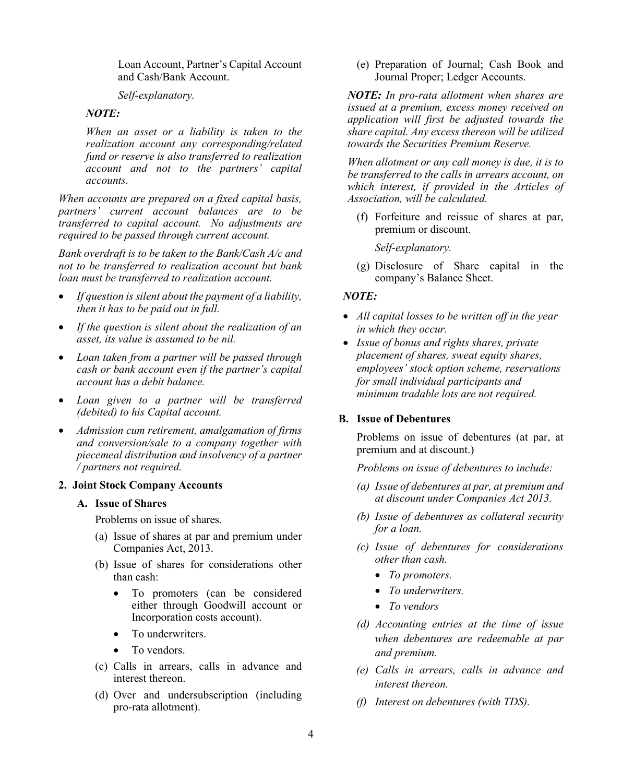Loan Account, Partner's Capital Account and Cash/Bank Account.

*Self-explanatory.*

#### *NOTE:*

*When an asset or a liability is taken to the realization account any corresponding/related fund or reserve is also transferred to realization account and not to the partners' capital accounts.*

*When accounts are prepared on a fixed capital basis, partners' current account balances are to be transferred to capital account. No adjustments are required to be passed through current account.*

*Bank overdraft is to be taken to the Bank/Cash A/c and not to be transferred to realization account but bank loan must be transferred to realization account.*

- *If question is silent about the payment of a liability, then it has to be paid out in full.*
- *If the question is silent about the realization of an asset, its value is assumed to be nil.*
- *Loan taken from a partner will be passed through cash or bank account even if the partner's capital account has a debit balance.*
- *Loan given to a partner will be transferred (debited) to his Capital account.*
- *Admission cum retirement, amalgamation of firms and conversion/sale to a company together with piecemeal distribution and insolvency of a partner / partners not required.*

#### **2. Joint Stock Company Accounts**

#### **A. Issue of Shares**

Problems on issue of shares.

- (a) Issue of shares at par and premium under Companies Act, 2013.
- (b) Issue of shares for considerations other than cash:
	- To promoters (can be considered either through Goodwill account or Incorporation costs account).
	- To underwriters.
	- To vendors.
- (c) Calls in arrears, calls in advance and interest thereon.
- (d) Over and undersubscription (including pro-rata allotment).

(e) Preparation of Journal; Cash Book and Journal Proper; Ledger Accounts.

*NOTE: In pro-rata allotment when shares are issued at a premium, excess money received on application will first be adjusted towards the share capital. Any excess thereon will be utilized towards the Securities Premium Reserve.*

*When allotment or any call money is due, it is to be transferred to the calls in arrears account, on which interest, if provided in the Articles of Association, will be calculated.* 

(f) Forfeiture and reissue of shares at par, premium or discount.

*Self-explanatory.*

(g) Disclosure of Share capital in the company's Balance Sheet.

### *NOTE:*

- *All capital losses to be written off in the year in which they occur.*
- *Issue of bonus and rights shares, private placement of shares, sweat equity shares, employees' stock option scheme, reservations for small individual participants and minimum tradable lots are not required.*

### **B. Issue of Debentures**

Problems on issue of debentures (at par, at premium and at discount.)

*Problems on issue of debentures to include:*

- *(a) Issue of debentures at par, at premium and at discount under Companies Act 2013.*
- *(b) Issue of debentures as collateral security for a loan.*
- *(c) Issue of debentures for considerations other than cash.*
	- *To promoters.*
	- *To underwriters.*
	- *To vendors*
- *(d) Accounting entries at the time of issue when debentures are redeemable at par and premium.*
- *(e) Calls in arrears, calls in advance and interest thereon.*
- *(f) Interest on debentures (with TDS).*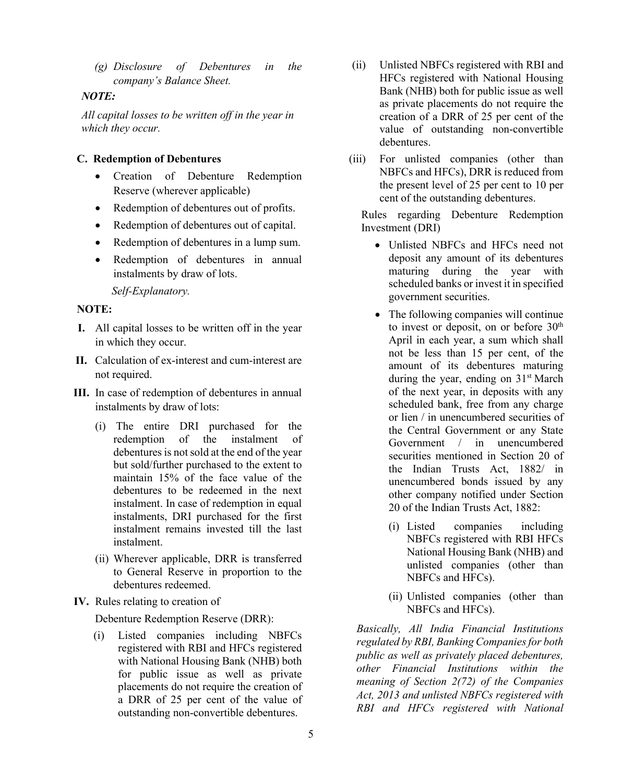*(g) Disclosure of Debentures in the company's Balance Sheet.*

### *NOTE:*

*All capital losses to be written off in the year in which they occur.* 

### **C.****Redemption of Debentures**

- Creation of Debenture Redemption Reserve (wherever applicable)
- Redemption of debentures out of profits.
- Redemption of debentures out of capital.
- Redemption of debentures in a lump sum.
- Redemption of debentures in annual instalments by draw of lots.

### *Self-Explanatory.*

### **NOTE:**

- **I.** All capital losses to be written off in the year in which they occur.
- **II.** Calculation of ex-interest and cum-interest are not required.
- **III.** In case of redemption of debentures in annual instalments by draw of lots:
	- (i) The entire DRI purchased for the redemption of the instalment of debentures is not sold at the end of the year but sold/further purchased to the extent to maintain 15% of the face value of the debentures to be redeemed in the next instalment. In case of redemption in equal instalments, DRI purchased for the first instalment remains invested till the last instalment.
	- (ii) Wherever applicable, DRR is transferred to General Reserve in proportion to the debentures redeemed.
- **IV.** Rules relating to creation of

Debenture Redemption Reserve (DRR):

(i) Listed companies including NBFCs registered with RBI and HFCs registered with National Housing Bank (NHB) both for public issue as well as private placements do not require the creation of a DRR of 25 per cent of the value of outstanding non-convertible debentures.

- (ii) Unlisted NBFCs registered with RBI and HFCs registered with National Housing Bank (NHB) both for public issue as well as private placements do not require the creation of a DRR of 25 per cent of the value of outstanding non-convertible debentures.
- (iii) For unlisted companies (other than NBFCs and HFCs), DRR is reduced from the present level of 25 per cent to 10 per cent of the outstanding debentures.

Rules regarding Debenture Redemption Investment (DRI)

- Unlisted NBFCs and HFCs need not deposit any amount of its debentures maturing during the year with scheduled banks or invest it in specified government securities.
- The following companies will continue to invest or deposit, on or before 30th April in each year, a sum which shall not be less than 15 per cent, of the amount of its debentures maturing during the year, ending on  $31<sup>st</sup>$  March of the next year, in deposits with any scheduled bank, free from any charge or lien / in unencumbered securities of the Central Government or any State Government / in unencumbered securities mentioned in Section 20 of the Indian Trusts Act, 1882/ in unencumbered bonds issued by any other company notified under Section 20 of the Indian Trusts Act, 1882:
	- (i) Listed companies including NBFCs registered with RBI HFCs National Housing Bank (NHB) and unlisted companies (other than NBFCs and HFCs).
	- (ii) Unlisted companies (other than NBFCs and HFCs).

*Basically, All India Financial Institutions regulated by RBI, Banking Companies for both public as well as privately placed debentures, other Financial Institutions within the meaning of Section 2(72) of the Companies Act, 2013 and unlisted NBFCs registered with RBI and HFCs registered with National*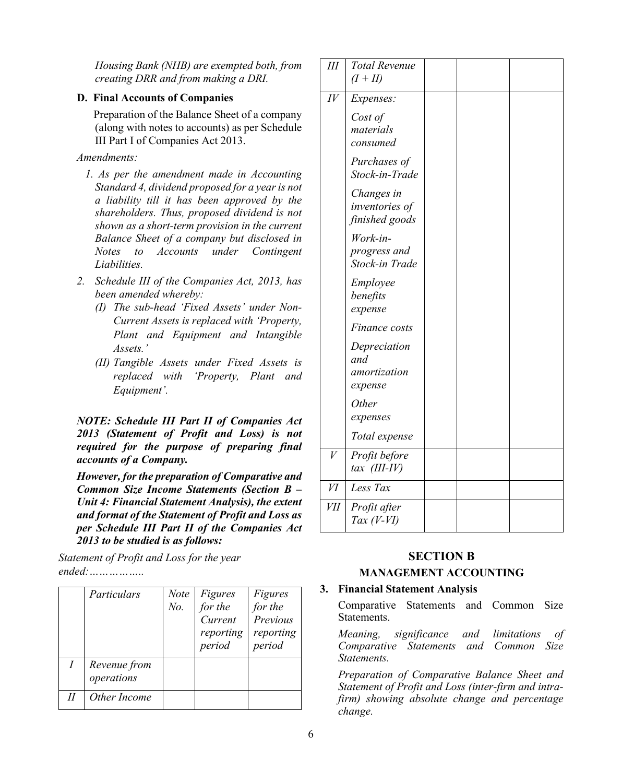*Housing Bank (NHB) are exempted both, from creating DRR and from making a DRI.*

### **D. Final Accounts of Companies**

 Preparation of the Balance Sheet of a company (along with notes to accounts) as per Schedule III Part I of Companies Act 2013.

*Amendments:*

- *1. As per the amendment made in Accounting Standard 4, dividend proposed for a year is not a liability till it has been approved by the shareholders. Thus, proposed dividend is not shown as a short-term provision in the current Balance Sheet of a company but disclosed in Notes to Accounts under Contingent Liabilities.*
- *2. Schedule III of the Companies Act, 2013, has been amended whereby:* 
	- *(I) The sub-head 'Fixed Assets' under Non-Current Assets is replaced with 'Property, Plant and Equipment and Intangible Assets.'*
	- *(II) Tangible Assets under Fixed Assets is replaced with 'Property, Plant and Equipment'.*

*NOTE: Schedule III Part II of Companies Act 2013 (Statement of Profit and Loss) is not required for the purpose of preparing final accounts of a Company.*

*However, for the preparation of Comparative and Common Size Income Statements (Section B – Unit 4: Financial Statement Analysis), the extent and format of the Statement of Profit and Loss as per Schedule III Part II of the Companies Act 2013 to be studied is as follows:*

*Statement of Profit and Loss for the year ended:……………..*

|                            | Particulars                | <b>Note</b><br>No. | Figures<br>for the<br>Current<br>reporting<br>period | Figures<br>for the<br>Previous<br>reporting<br>period |
|----------------------------|----------------------------|--------------------|------------------------------------------------------|-------------------------------------------------------|
|                            | Revenue from<br>operations |                    |                                                      |                                                       |
| $\boldsymbol{\mathit{II}}$ | Other Income               |                    |                                                      |                                                       |

| Ш                  | <b>Total Revenue</b>                  |  |  |
|--------------------|---------------------------------------|--|--|
|                    | $(I+II)$                              |  |  |
| $I\hspace{-.1em}V$ | Expenses:                             |  |  |
|                    | Cost of                               |  |  |
|                    | materials                             |  |  |
|                    | consumed                              |  |  |
|                    | Purchases of<br>Stock-in-Trade        |  |  |
|                    | Changes in                            |  |  |
|                    | inventories of                        |  |  |
|                    | finished goods                        |  |  |
|                    | Work-in-                              |  |  |
|                    | progress and<br>Stock-in Trade        |  |  |
|                    |                                       |  |  |
|                    | Employee<br>benefits                  |  |  |
|                    | expense                               |  |  |
|                    | Finance costs                         |  |  |
|                    | Depreciation                          |  |  |
|                    | and                                   |  |  |
|                    | amortization<br>expense               |  |  |
|                    | Other                                 |  |  |
|                    | expenses                              |  |  |
|                    | Total expense                         |  |  |
|                    |                                       |  |  |
| $\overline{V}$     | Profit before<br>$tax$ (III-IV)       |  |  |
| VI                 | Less Tax                              |  |  |
| VІІ                | Profit after<br>$\textit{Tax (V-VI)}$ |  |  |

# **SECTION B**

### **MANAGEMENT ACCOUNTING**

### **3. Financial Statement Analysis**

Comparative Statements and Common Size Statements.

*Meaning, significance and limitations of Comparative Statements and Common Size Statements.*

*Preparation of Comparative Balance Sheet and Statement of Profit and Loss (inter-firm and intrafirm) showing absolute change and percentage change.*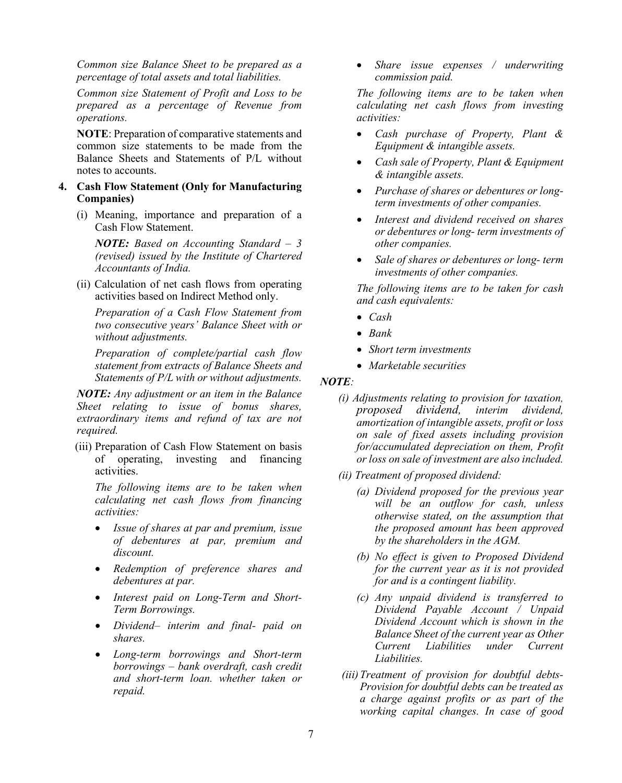*Common size Balance Sheet to be prepared as a percentage of total assets and total liabilities.* 

*Common size Statement of Profit and Loss to be prepared as a percentage of Revenue from operations.* 

**NOTE**: Preparation of comparative statements and common size statements to be made from the Balance Sheets and Statements of P/L without notes to accounts.

### **4. Cash Flow Statement (Only for Manufacturing Companies)**

(i) Meaning, importance and preparation of a Cash Flow Statement.

*NOTE: Based on Accounting Standard – 3 (revised) issued by the Institute of Chartered Accountants of India.*

(ii) Calculation of net cash flows from operating activities based on Indirect Method only.

*Preparation of a Cash Flow Statement from two consecutive years' Balance Sheet with or without adjustments.*

*Preparation of complete/partial cash flow statement from extracts of Balance Sheets and Statements of P/L with or without adjustments.*

*NOTE: Any adjustment or an item in the Balance Sheet relating to issue of bonus shares, extraordinary items and refund of tax are not required.*

(iii) Preparation of Cash Flow Statement on basis of operating, investing and financing activities.

*The following items are to be taken when calculating net cash flows from financing activities:*

- *Issue of shares at par and premium, issue of debentures at par, premium and discount.*
- *Redemption of preference shares and debentures at par.*
- *Interest paid on Long-Term and Short-Term Borrowings.*
- *Dividend– interim and final- paid on shares.*
- *Long-term borrowings and Short-term borrowings – bank overdraft, cash credit and short-term loan. whether taken or repaid.*

• *Share issue expenses / underwriting commission paid.*

*The following items are to be taken when calculating net cash flows from investing activities:*

- *Cash purchase of Property, Plant & Equipment & intangible assets.*
- *Cash sale of Property, Plant & Equipment & intangible assets.*
- *Purchase of shares or debentures or longterm investments of other companies.*
- *Interest and dividend received on shares or debentures or long- term investments of other companies.*
- *Sale of shares or debentures or long- term investments of other companies.*

*The following items are to be taken for cash and cash equivalents:*

- *Cash*
- *Bank*
- *Short term investments*
- *Marketable securities*

### *NOTE:*

- *(i) Adjustments relating to provision for taxation, proposed dividend, interim dividend, amortization of intangible assets, profit or loss on sale of fixed assets including provision for/accumulated depreciation on them, Profit or loss on sale of investment are also included.*
- *(ii) Treatment of proposed dividend:*
	- *(a) Dividend proposed for the previous year will be an outflow for cash, unless otherwise stated, on the assumption that the proposed amount has been approved by the shareholders in the AGM.*
	- *(b) No effect is given to Proposed Dividend for the current year as it is not provided for and is a contingent liability.*
	- *(c) Any unpaid dividend is transferred to Dividend Payable Account / Unpaid Dividend Account which is shown in the Balance Sheet of the current year as Other Current Liabilities under Current Liabilities.*
- *(iii)Treatment of provision for doubtful debts-Provision for doubtful debts can be treated as a charge against profits or as part of the working capital changes. In case of good*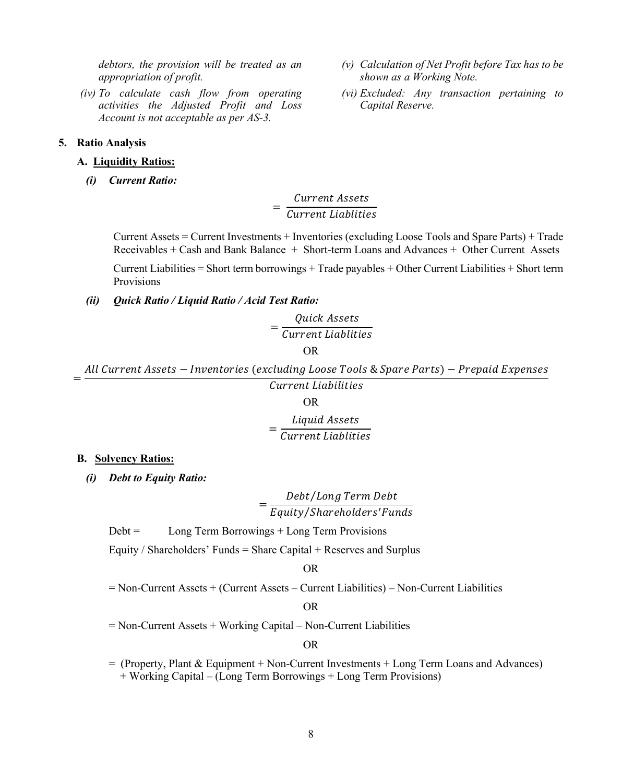*debtors, the provision will be treated as an appropriation of profit.*

*(iv) To calculate cash flow from operating activities the Adjusted Profit and Loss Account is not acceptable as per AS-3.*

#### **5. Ratio Analysis**

#### **A. Liquidity Ratios:**

*(i) Current Ratio:*

$$
= \frac{Current\,\,Assets}{Current\,\,Liabilities}
$$

Current Assets = Current Investments + Inventories (excluding Loose Tools and Spare Parts) + Trade Receivables + Cash and Bank Balance + Short-term Loans and Advances + Other Current Assets

Current Liabilities = Short term borrowings + Trade payables + Other Current Liabilities + Short term Provisions

#### *(ii) Quick Ratio / Liquid Ratio / Acid Test Ratio:*

$$
=\frac{Quick\ Assets}{Current\ Liabilities}
$$
  
OR

All Current Assets  $-$  Inventories (excluding Loose Tools & Spare Parts)  $-$  Prepaid Expenses

Current Liabilities OR = Liquid Assets<br>Current Liabliti

#### **B. Solvency Ratios:**

*(i) Debt to Equity Ratio:*

= Debt/Long Term Del<br>Equity/Shareholders'F

Debt = Long Term Borrowings + Long Term Provisions

Equity / Shareholders' Funds = Share Capital + Reserves and Surplus

### OR

= Non-Current Assets + (Current Assets – Current Liabilities) – Non-Current Liabilities

#### OR

= Non-Current Assets + Working Capital – Non-Current Liabilities

#### OR

= (Property, Plant & Equipment + Non-Current Investments + Long Term Loans and Advances) + Working Capital – (Long Term Borrowings + Long Term Provisions)

- *(v) Calculation of Net Profit before Tax has to be shown as a Working Note.*
- *(vi) Excluded: Any transaction pertaining to Capital Reserve.*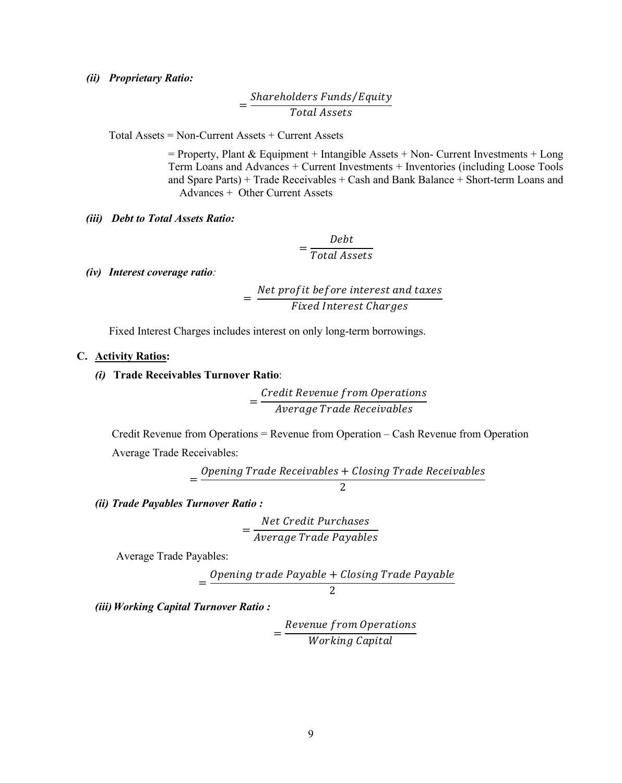#### *(ii) Proprietary Ratio:*

= *Shareholders Funds/Equity*<br>Total Assets

Total Assets = Non-Current Assets + Current Assets

 $=$  Property, Plant & Equipment + Intangible Assets  $+$  Non- Current Investments  $+$  Long Term Loans and Advances + Current Investments + Inventories (including Loose Tools and Spare Parts) + Trade Receivables + Cash and Bank Balance + Short-term Loans and Advances + Other Current Assets

#### *(iii) Debt to Total Assets Ratio:*

$$
=\frac{Debt}{Total\,Assets}
$$

*(iv) Interest coverage ratio:*

$$
= \frac{Net\ profit\ before\ interest\ and\ taxes}{Fixed\ Interest\ charges}
$$

Fixed Interest Charges includes interest on only long-term borrowings.

#### **C. Activity Ratios:**

*(i)* **Trade Receivables Turnover Ratio**:

= <mark>Credit Revenue from 0</mark><br>Average Trade Rece

Credit Revenue from Operations = Revenue from Operation – Cash Revenue from Operation Average Trade Receivables:

$$
=\frac{Opening\ Trade\ Receivables + Closing\ Trade\ Receivables}{2}
$$

2

*(ii) Trade Payables Turnover Ratio :*

$$
= \frac{Net\, Credit\,Purchases}{Average\, Trade\,Payables}
$$

Average Trade Payables:

$$
=\frac{Opening\ trade\ Payable + Closing\ Trade\ Payable}{2}
$$

*(iii)Working Capital Turnover Ratio :*

= *Revenue from Oper*<br>*Working Capit*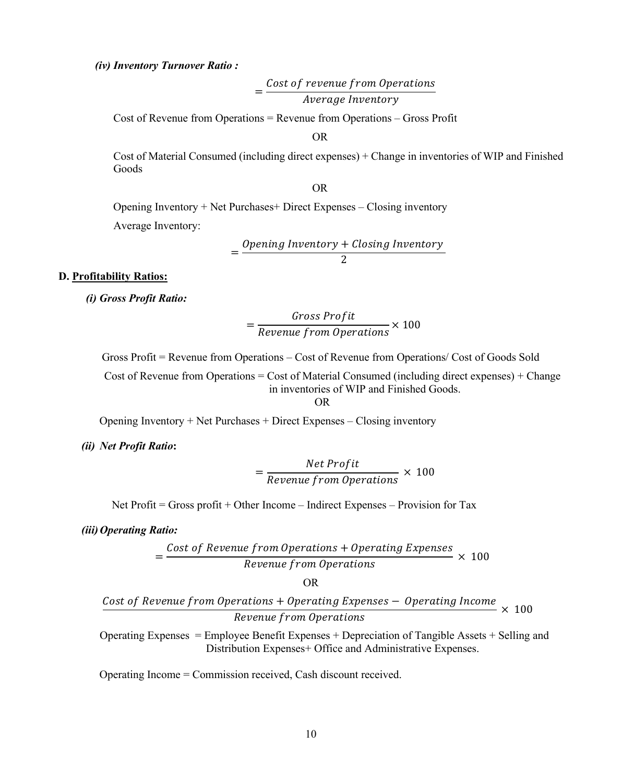#### *(iv) Inventory Turnover Ratio :*

 $=\frac{Cost~of~revenue~from~O^2}{Average~Invento^2}$ 

Cost of Revenue from Operations = Revenue from Operations – Gross Profit

OR

Cost of Material Consumed (including direct expenses) + Change in inventories of WIP and Finished Goods

OR

Opening Inventory + Net Purchases+ Direct Expenses – Closing inventory Average Inventory:

$$
=\frac{Opening\ Inventory + Closing\ Inventory}{2}
$$

#### **D. Profitability Ratios:**

*(i) Gross Profit Ratio:* 

$$
=\frac{Gross Profit}{Revenue from Operations} \times 100
$$

Gross Profit = Revenue from Operations – Cost of Revenue from Operations/ Cost of Goods Sold

Cost of Revenue from Operations = Cost of Material Consumed (including direct expenses) + Change in inventories of WIP and Finished Goods. OR

Opening Inventory + Net Purchases + Direct Expenses – Closing inventory

### *(ii) Net Profit Ratio***:**

$$
= \frac{Net Profit}{Revenue from Operations} \times 100
$$

Net  $Profit = Gross profit + Other Income - Indirect Express - Provision for Tax$ 

*(iii)Operating Ratio:*

$$
= \frac{Cost\ of\ Revenue\ from\ Operations + Operating\ Expenses}{Review\ from\ Operations} \times 100
$$

OR

 + − × 100

Operating Expenses = Employee Benefit Expenses + Depreciation of Tangible Assets + Selling and Distribution Expenses+ Office and Administrative Expenses.

Operating Income = Commission received, Cash discount received.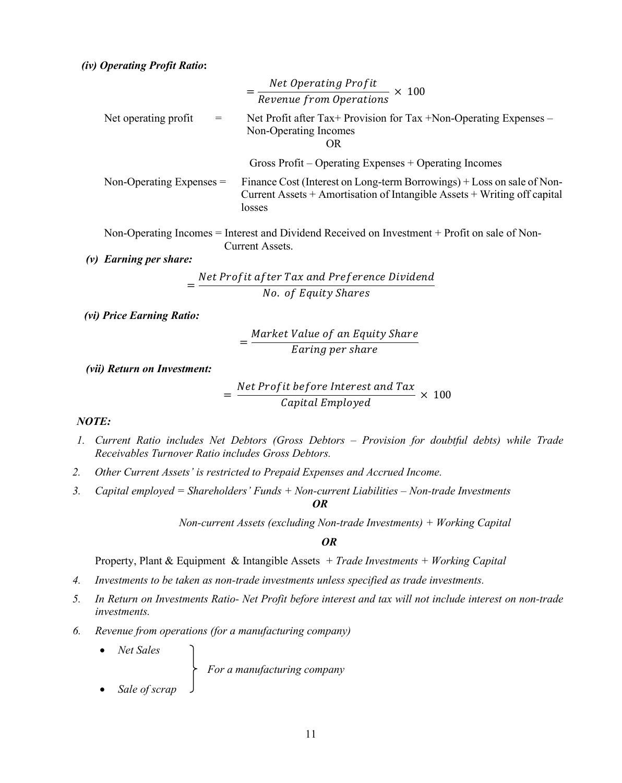|                                  | $=\frac{Net \ Operating \ Profit}{Review \ from \ Operations} \times 100$                                                                                    |
|----------------------------------|--------------------------------------------------------------------------------------------------------------------------------------------------------------|
| Net operating profit<br>$=$      | Net Profit after Tax+ Provision for Tax + Non-Operating Expenses –<br>Non-Operating Incomes<br>OR.                                                           |
|                                  | Gross Profit – Operating Expenses + Operating Incomes                                                                                                        |
| Non-Operating Expenses $=$       | Finance Cost (Interest on Long-term Borrowings) + Loss on sale of Non-<br>Current Assets + Amortisation of Intangible Assets + Writing off capital<br>losses |
|                                  | Non-Operating Incomes = Interest and Dividend Received on Investment + Profit on sale of Non-<br>Current Assets.                                             |
| (v) Earning per share:           |                                                                                                                                                              |
|                                  | Net Profit after Tax and Preference Dividend                                                                                                                 |
|                                  | No. of Equity Shares                                                                                                                                         |
| <i>(vi) Price Earning Ratio:</i> |                                                                                                                                                              |

= Market Value of an Equity Sh<br>Earing per share

*(vii) Return on Investment:* 

$$
= \frac{Net Profit before Interest and Tax}{Capital Employee}
$$
 × 100

### *NOTE:*

- *1. Current Ratio includes Net Debtors (Gross Debtors – Provision for doubtful debts) while Trade Receivables Turnover Ratio includes Gross Debtors.*
- *2. Other Current Assets' is restricted to Prepaid Expenses and Accrued Income.*
- *3. Capital employed = Shareholders' Funds + Non-current Liabilities – Non-trade Investments OR*

 *Non-current Assets (excluding Non-trade Investments) + Working Capital* 

#### *OR*

Property, Plant & Equipment & Intangible Assets *+ Trade Investments + Working Capital*

- *4. Investments to be taken as non-trade investments unless specified as trade investments.*
- *5. In Return on Investments Ratio- Net Profit before interest and tax will not include interest on non-trade investments.*
- *6. Revenue from operations (for a manufacturing company)*
	- *Net Sales*

 *For a manufacturing company*

• *Sale of scrap*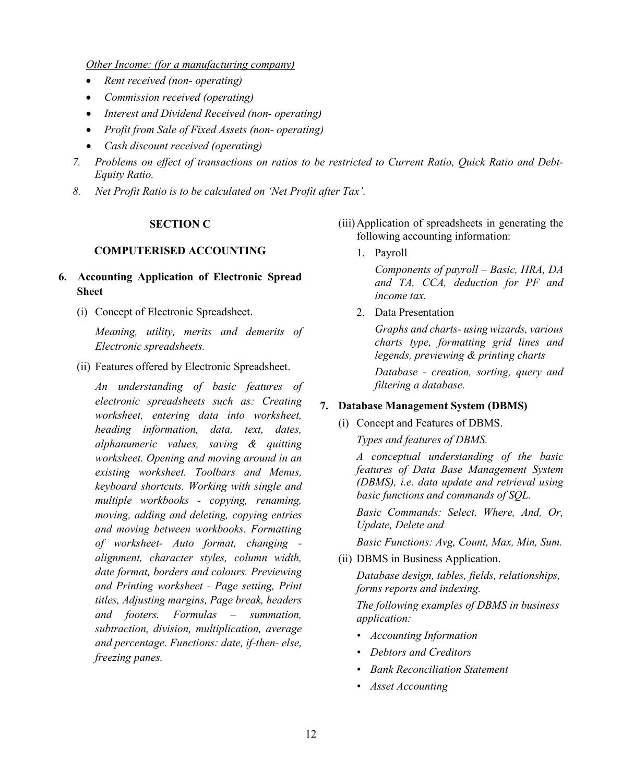*Other Income: (for a manufacturing company)*

- *Rent received (non- operating)*
- *Commission received (operating)*
- *Interest and Dividend Received (non- operating)*
- *Profit from Sale of Fixed Assets (non- operating)*
- *Cash discount received (operating)*
- *7. Problems on effect of transactions on ratios to be restricted to Current Ratio, Quick Ratio and Debt-Equity Ratio.*
- *8. Net Profit Ratio is to be calculated on 'Net Profit after Tax'.*

### **SECTION C**

#### **COMPUTERISED ACCOUNTING**

### **6. Accounting Application of Electronic Spread Sheet**

(i) Concept of Electronic Spreadsheet.

*Meaning, utility, merits and demerits of Electronic spreadsheets.*

(ii) Features offered by Electronic Spreadsheet.

*An understanding of basic features of electronic spreadsheets such as: Creating worksheet, entering data into worksheet, heading information, data, text, dates, alphanumeric values, saving & quitting worksheet. Opening and moving around in an existing worksheet. Toolbars and Menus, keyboard shortcuts. Working with single and multiple workbooks - copying, renaming, moving, adding and deleting, copying entries and moving between workbooks. Formatting of worksheet- Auto format, changing alignment, character styles, column width, date format, borders and colours. Previewing and Printing worksheet - Page setting, Print titles, Adjusting margins, Page break, headers and footers. Formulas – summation, subtraction, division, multiplication, average and percentage. Functions: date, if-then- else, freezing panes.* 

- (iii)Application of spreadsheets in generating the following accounting information:
	- 1. Payroll

*Components of payroll – Basic, HRA, DA and TA, CCA, deduction for PF and income tax.*

2. Data Presentation

*Graphs and charts- using wizards, various charts type, formatting grid lines and legends, previewing & printing charts*

*Database - creation, sorting, query and filtering a database.*

### **7. Database Management System (DBMS)**

(i) Concept and Features of DBMS.

*Types and features of DBMS.* 

*A conceptual understanding of the basic features of Data Base Management System (DBMS), i.e. data update and retrieval using basic functions and commands of SQL.* 

*Basic Commands: Select, Where, And, Or, Update, Delete and*

*Basic Functions: Avg, Count, Max, Min, Sum.*

(ii) DBMS in Business Application.

*Database design, tables, fields, relationships, forms reports and indexing.*

*The following examples of DBMS in business application:*

- *Accounting Information*
- *Debtors and Creditors*
- *Bank Reconciliation Statement*
- *Asset Accounting*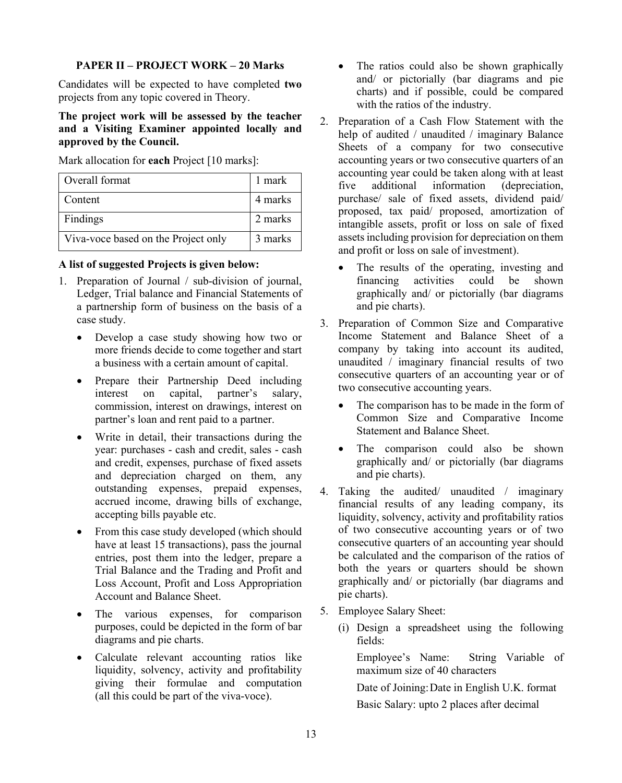### **PAPER II – PROJECT WORK – 20 Marks**

Candidates will be expected to have completed **two**  projects from any topic covered in Theory.

**The project work will be assessed by the teacher and a Visiting Examiner appointed locally and approved by the Council.**

Mark allocation for **each** Project [10 marks]:

| Overall format                      | 1 mark  |
|-------------------------------------|---------|
| Content                             | 4 marks |
| Findings                            | 2 marks |
| Viva-voce based on the Project only | 3 marks |

### **A list of suggested Projects is given below:**

- 1. Preparation of Journal / sub-division of journal, Ledger, Trial balance and Financial Statements of a partnership form of business on the basis of a case study.
	- Develop a case study showing how two or more friends decide to come together and start a business with a certain amount of capital.
	- Prepare their Partnership Deed including interest on capital, partner's salary, commission, interest on drawings, interest on partner's loan and rent paid to a partner.
	- Write in detail, their transactions during the year: purchases - cash and credit, sales - cash and credit, expenses, purchase of fixed assets and depreciation charged on them, any outstanding expenses, prepaid expenses, accrued income, drawing bills of exchange, accepting bills payable etc.
	- From this case study developed (which should have at least 15 transactions), pass the journal entries, post them into the ledger, prepare a Trial Balance and the Trading and Profit and Loss Account, Profit and Loss Appropriation Account and Balance Sheet.
	- The various expenses, for comparison purposes, could be depicted in the form of bar diagrams and pie charts.
	- Calculate relevant accounting ratios like liquidity, solvency, activity and profitability giving their formulae and computation (all this could be part of the viva-voce).
- The ratios could also be shown graphically and/ or pictorially (bar diagrams and pie charts) and if possible, could be compared with the ratios of the industry.
- 2. Preparation of a Cash Flow Statement with the help of audited / unaudited / imaginary Balance Sheets of a company for two consecutive accounting years or two consecutive quarters of an accounting year could be taken along with at least five additional information (depreciation, purchase/ sale of fixed assets, dividend paid/ proposed, tax paid/ proposed, amortization of intangible assets, profit or loss on sale of fixed assets including provision for depreciation on them and profit or loss on sale of investment).
	- The results of the operating, investing and financing activities could be shown graphically and/ or pictorially (bar diagrams and pie charts).
- 3. Preparation of Common Size and Comparative Income Statement and Balance Sheet of a company by taking into account its audited, unaudited / imaginary financial results of two consecutive quarters of an accounting year or of two consecutive accounting years.
	- The comparison has to be made in the form of Common Size and Comparative Income Statement and Balance Sheet.
	- The comparison could also be shown graphically and/ or pictorially (bar diagrams and pie charts).
- 4. Taking the audited/ unaudited / imaginary financial results of any leading company, its liquidity, solvency, activity and profitability ratios of two consecutive accounting years or of two consecutive quarters of an accounting year should be calculated and the comparison of the ratios of both the years or quarters should be shown graphically and/ or pictorially (bar diagrams and pie charts).
- 5. Employee Salary Sheet:
	- (i) Design a spreadsheet using the following fields:

Employee's Name: String Variable of maximum size of 40 characters

Date of Joining:Date in English U.K. format Basic Salary: upto 2 places after decimal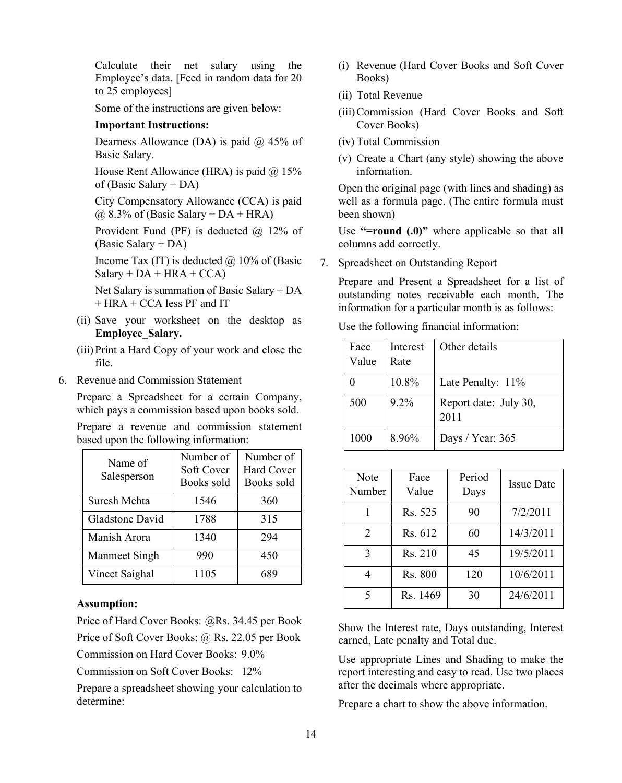Calculate their net salary using the Employee's data. [Feed in random data for 20 to 25 employees]

Some of the instructions are given below:

#### **Important Instructions:**

Dearness Allowance (DA) is paid  $\omega$  45% of Basic Salary.

House Rent Allowance (HRA) is paid  $@$  15% of (Basic Salary + DA)

City Compensatory Allowance (CCA) is paid  $(a)$  8.3% of (Basic Salary + DA + HRA)

Provident Fund (PF) is deducted  $(a)$  12% of (Basic Salary + DA)

Income Tax (IT) is deducted  $(a)$  10% of (Basic  $Salary + DA + HRA + CCA$ 

Net Salary is summation of Basic Salary + DA + HRA + CCA less PF and IT

- (ii) Save your worksheet on the desktop as **Employee\_Salary.**
- (iii)Print a Hard Copy of your work and close the file.
- 6. Revenue and Commission Statement

Prepare a Spreadsheet for a certain Company, which pays a commission based upon books sold.

Prepare a revenue and commission statement based upon the following information:

| Name of<br>Salesperson | Number of<br>Soft Cover<br>Books sold | Number of<br>Hard Cover<br>Books sold |
|------------------------|---------------------------------------|---------------------------------------|
| Suresh Mehta           | 1546                                  | 360                                   |
| Gladstone David        | 1788                                  | 315                                   |
| Manish Arora           | 1340                                  | 294                                   |
| Manmeet Singh          | 990                                   | 450                                   |
| Vineet Saighal         | 1105                                  | 689                                   |

#### **Assumption:**

Price of Hard Cover Books: @Rs. 34.45 per Book Price of Soft Cover Books: @ Rs. 22.05 per Book Commission on Hard Cover Books: 9.0%

Commission on Soft Cover Books: 12%

Prepare a spreadsheet showing your calculation to determine:

- (i) Revenue (Hard Cover Books and Soft Cover Books)
- (ii) Total Revenue
- (iii)Commission (Hard Cover Books and Soft Cover Books)
- (iv) Total Commission
- (v) Create a Chart (any style) showing the above information.

Open the original page (with lines and shading) as well as a formula page. (The entire formula must been shown)

Use **"=round (.0)"** where applicable so that all columns add correctly.

7. Spreadsheet on Outstanding Report

Prepare and Present a Spreadsheet for a list of outstanding notes receivable each month. The information for a particular month is as follows:

Use the following financial information:

| Face  | Interest | Other details                 |
|-------|----------|-------------------------------|
| Value | Rate     |                               |
|       | 10.8%    | Late Penalty: 11%             |
| 500   | $9.2\%$  | Report date: July 30,<br>2011 |
| 1000  | 8.96%    | Days / Year: 365              |

| Note<br>Number | Face<br>Value | Period<br>Days | <b>Issue Date</b> |
|----------------|---------------|----------------|-------------------|
|                | Rs. 525       | 90             | 7/2/2011          |
| $\overline{2}$ | Rs. 612       | 60             | 14/3/2011         |
| 3              | Rs. 210       | 45             | 19/5/2011         |
|                | Rs. 800       | 120            | 10/6/2011         |
| 5              | Rs. 1469      | 30             | 24/6/2011         |

Show the Interest rate, Days outstanding, Interest earned, Late penalty and Total due.

Use appropriate Lines and Shading to make the report interesting and easy to read. Use two places after the decimals where appropriate.

Prepare a chart to show the above information.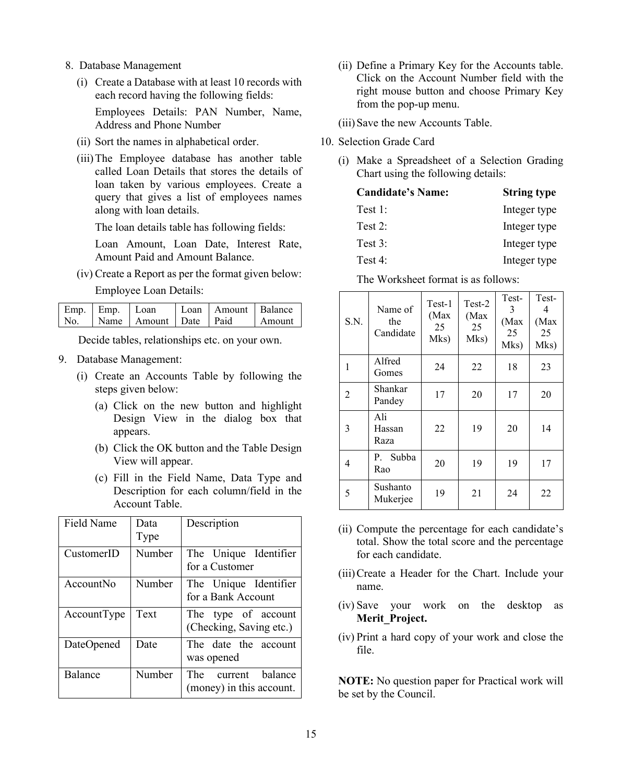- 8. Database Management
	- (i) Create a Database with at least 10 records with each record having the following fields:

 Employees Details: PAN Number, Name, Address and Phone Number

- (ii) Sort the names in alphabetical order.
- (iii)The Employee database has another table called Loan Details that stores the details of loan taken by various employees. Create a query that gives a list of employees names along with loan details.

The loan details table has following fields:

Loan Amount, Loan Date, Interest Rate, Amount Paid and Amount Balance.

(iv) Create a Report as per the format given below:

Employee Loan Details:

| No. Name Amount Date Paid Amount | $\mathsf{Emp.}$ Emp. Loan |  | Loan   Amount   Balance |
|----------------------------------|---------------------------|--|-------------------------|
|                                  |                           |  |                         |

Decide tables, relationships etc. on your own.

- 9. Database Management:
	- (i) Create an Accounts Table by following the steps given below:
		- (a) Click on the new button and highlight Design View in the dialog box that appears.
		- (b) Click the OK button and the Table Design View will appear.
		- (c) Fill in the Field Name, Data Type and Description for each column/field in the Account Table.

| Field Name     | Data<br>Type | Description                                           |
|----------------|--------------|-------------------------------------------------------|
| $C$ ustomerID  | Number       | The Unique Identifier<br>for a Customer               |
| AccountNo      | Number       | The Unique Identifier<br>for a Bank Account           |
| AccountType    | Text         | The type of account<br>(Checking, Saving etc.)        |
| DateOpened     | Date         | The date the account<br>was opened                    |
| <b>Balance</b> | Number       | balance<br>The<br>current<br>(money) in this account. |

(ii) Define a Primary Key for the Accounts table. Click on the Account Number field with the right mouse button and choose Primary Key from the pop-up menu.

(iii)Save the new Accounts Table.

- 10. Selection Grade Card
	- (i) Make a Spreadsheet of a Selection Grading Chart using the following details:

| <b>Candidate's Name:</b> | <b>String type</b> |
|--------------------------|--------------------|
| Test 1:                  | Integer type       |
| Test 2:                  | Integer type       |
| Test $3:$                | Integer type       |
| Test 4:                  | Integer type       |
|                          |                    |

The Worksheet format is as follows:

| S.N. | Name of<br>the<br>Candidate | Test-1<br>(Max<br>25<br>Mks) | $Test-2$<br>(Max<br>25<br>Mks) | Test-<br>3<br>(Max<br>25<br>Mks) | Test-<br>4<br>(Max<br>25<br>Mks) |
|------|-----------------------------|------------------------------|--------------------------------|----------------------------------|----------------------------------|
| 1    | Alfred<br>Gomes             | 24                           | 22                             | 18                               | 23                               |
| 2    | Shankar<br>Pandey           | 17                           | 20                             | 17                               | 20                               |
| 3    | Ali<br>Hassan<br>Raza       | 22                           | 19                             | 20                               | 14                               |
| 4    | P. Subba<br>Rao             | 20                           | 19                             | 19                               | 17                               |
| 5    | Sushanto<br>Mukerjee        | 19                           | 21                             | 24                               | 22                               |

- (ii) Compute the percentage for each candidate's total. Show the total score and the percentage for each candidate.
- (iii)Create a Header for the Chart. Include your name.
- (iv) Save your work on the desktop as **Merit\_Project.**
- (iv) Print a hard copy of your work and close the file.

**NOTE:** No question paper for Practical work will be set by the Council.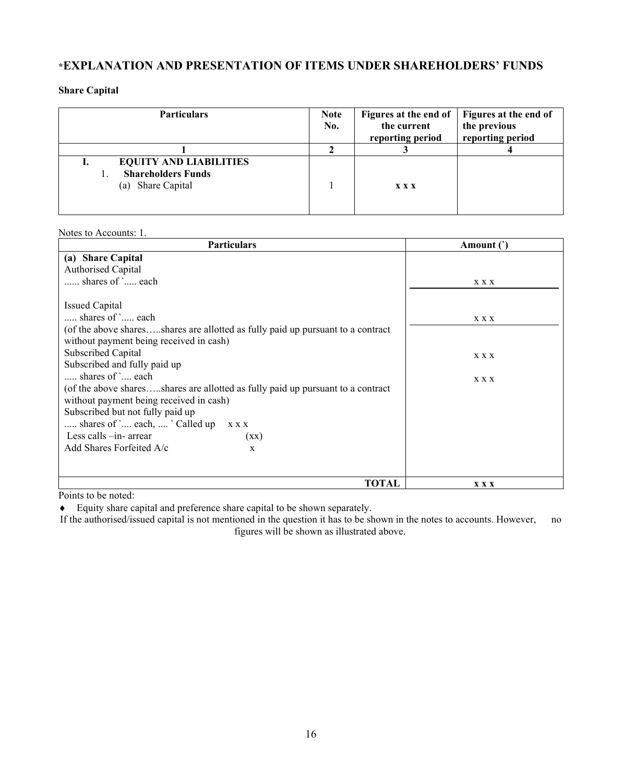# **\*EXPLANATION AND PRESENTATION OF ITEMS UNDER SHAREHOLDERS' FUNDS**

**Share Capital**

| <b>Particulars</b>                                                              | <b>Note</b><br>No. | Figures at the end of<br>the current<br>reporting period | Figures at the end of<br>the previous<br>reporting period |
|---------------------------------------------------------------------------------|--------------------|----------------------------------------------------------|-----------------------------------------------------------|
|                                                                                 |                    |                                                          |                                                           |
| <b>EQUITY AND LIABILITIES</b><br><b>Shareholders Funds</b><br>(a) Share Capital |                    | <b>XXX</b>                                               |                                                           |

Notes to Accounts: 1.

| <b>Particulars</b>                                                              | Amount (`) |
|---------------------------------------------------------------------------------|------------|
| (a) Share Capital                                                               |            |
| Authorised Capital                                                              |            |
| shares of ` each                                                                | <b>XXX</b> |
|                                                                                 |            |
| <b>Issued Capital</b>                                                           |            |
| shares of ` each                                                                | <b>XXX</b> |
| (of the above sharesshares are allotted as fully paid up pursuant to a contract |            |
| without payment being received in cash)                                         |            |
| Subscribed Capital                                                              | <b>XXX</b> |
| Subscribed and fully paid up                                                    |            |
| shares of ` each                                                                | <b>XXX</b> |
| (of the above sharesshares are allotted as fully paid up pursuant to a contract |            |
| without payment being received in cash)                                         |            |
| Subscribed but not fully paid up                                                |            |
| shares of ` each,  `Called up<br><b>XXX</b>                                     |            |
| Less calls -in- arrear<br>$(\mathbf{X}\mathbf{X})$                              |            |
| Add Shares Forfeited A/c<br>$\mathbf{x}$                                        |            |
|                                                                                 |            |
|                                                                                 |            |
| TOTAL                                                                           | <b>XXX</b> |

Points to be noted:

♦ Equity share capital and preference share capital to be shown separately.

If the authorised/issued capital is not mentioned in the question it has to be shown in the notes to accounts. However, no figures will be shown as illustrated above.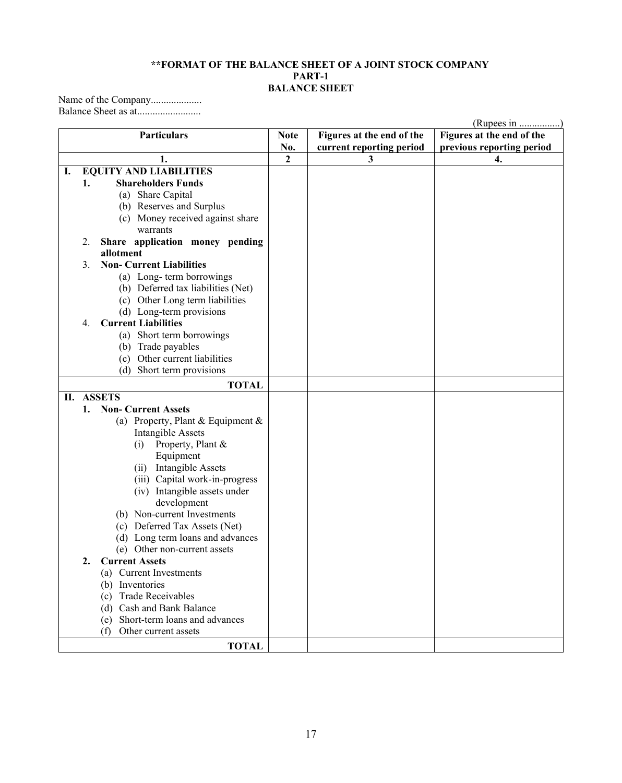### **\*\*FORMAT OF THE BALANCE SHEET OF A JOINT STOCK COMPANY PART-1 BALANCE SHEET**

Name of the Company.................... Balance Sheet as at.........................

|    |    | <b>Particulars</b>                                     | <b>Note</b> | Figures at the end of the | Figures at the end of the |  |  |  |  |
|----|----|--------------------------------------------------------|-------------|---------------------------|---------------------------|--|--|--|--|
|    |    |                                                        | No.         | current reporting period  | previous reporting period |  |  |  |  |
|    |    | 1.                                                     | 2           | 3                         | 4.                        |  |  |  |  |
| I. |    | <b>EQUITY AND LIABILITIES</b>                          |             |                           |                           |  |  |  |  |
|    | 1. | <b>Shareholders Funds</b>                              |             |                           |                           |  |  |  |  |
|    |    | (a) Share Capital                                      |             |                           |                           |  |  |  |  |
|    |    | (b) Reserves and Surplus                               |             |                           |                           |  |  |  |  |
|    |    | (c) Money received against share                       |             |                           |                           |  |  |  |  |
|    |    | warrants                                               |             |                           |                           |  |  |  |  |
|    | 2. | Share application money pending                        |             |                           |                           |  |  |  |  |
|    |    | allotment                                              |             |                           |                           |  |  |  |  |
|    | 3. | <b>Non- Current Liabilities</b>                        |             |                           |                           |  |  |  |  |
|    |    | (a) Long-term borrowings                               |             |                           |                           |  |  |  |  |
|    |    | (b) Deferred tax liabilities (Net)                     |             |                           |                           |  |  |  |  |
|    |    | (c) Other Long term liabilities                        |             |                           |                           |  |  |  |  |
|    |    |                                                        |             |                           |                           |  |  |  |  |
|    |    | (d) Long-term provisions<br><b>Current Liabilities</b> |             |                           |                           |  |  |  |  |
|    | 4. |                                                        |             |                           |                           |  |  |  |  |
|    |    | (a) Short term borrowings                              |             |                           |                           |  |  |  |  |
|    |    | (b) Trade payables                                     |             |                           |                           |  |  |  |  |
|    |    | Other current liabilities<br>(c)                       |             |                           |                           |  |  |  |  |
|    |    | Short term provisions<br>(d)                           |             |                           |                           |  |  |  |  |
|    |    | <b>TOTAL</b>                                           |             |                           |                           |  |  |  |  |
|    |    | II. ASSETS                                             |             |                           |                           |  |  |  |  |
|    | 1. | <b>Non-Current Assets</b>                              |             |                           |                           |  |  |  |  |
|    |    | (a) Property, Plant & Equipment &                      |             |                           |                           |  |  |  |  |
|    |    | Intangible Assets                                      |             |                           |                           |  |  |  |  |
|    |    | Property, Plant &<br>(i)                               |             |                           |                           |  |  |  |  |
|    |    | Equipment                                              |             |                           |                           |  |  |  |  |
|    |    | (ii) Intangible Assets                                 |             |                           |                           |  |  |  |  |
|    |    | (iii) Capital work-in-progress                         |             |                           |                           |  |  |  |  |
|    |    | (iv) Intangible assets under                           |             |                           |                           |  |  |  |  |
|    |    | development                                            |             |                           |                           |  |  |  |  |
|    |    | (b) Non-current Investments                            |             |                           |                           |  |  |  |  |
|    |    | (c) Deferred Tax Assets (Net)                          |             |                           |                           |  |  |  |  |
|    |    | (d) Long term loans and advances                       |             |                           |                           |  |  |  |  |
|    |    | (e) Other non-current assets                           |             |                           |                           |  |  |  |  |
|    | 2. | <b>Current Assets</b>                                  |             |                           |                           |  |  |  |  |
|    |    | (a) Current Investments                                |             |                           |                           |  |  |  |  |
|    |    | (b) Inventories                                        |             |                           |                           |  |  |  |  |
|    |    | (c) Trade Receivables                                  |             |                           |                           |  |  |  |  |
|    |    | (d) Cash and Bank Balance                              |             |                           |                           |  |  |  |  |
|    |    | Short-term loans and advances<br>(e)                   |             |                           |                           |  |  |  |  |
|    |    | Other current assets<br>(f)                            |             |                           |                           |  |  |  |  |
|    |    |                                                        |             |                           |                           |  |  |  |  |
|    |    | <b>TOTAL</b>                                           |             |                           |                           |  |  |  |  |